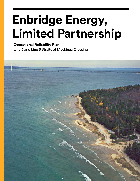# **Enbridge Enbridge Energy, Limited Partnership**

**Operational Reliability Plan** Line 5 and Line 5 Straits of Mackinac Crossing

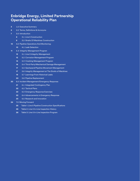# **Enbridge Energy, Limited Partnership Operational Reliability Plan**

- 1.0 Executive Summary
- 2.0 Terms, Definitions & Acronyms
- 3.0 Introduction
	- 3.1 Line 5 Construction
	- 3.2 Straits Of Mackinac Construction
- 4.0 Pipeline Operations And Monitoring:
	- 4.1 Leak Detection
- 5.0 Integrity Management Program
	- 5.1 Line 5 Integrity Management
	- 5.2 Corrosion Management Program
	- 5.3 Cracking Management Program
	- 5.4 Third-Party/Mechanical Damage Management
	- 5.5 Geohazard/Pipeline Movement Management
	- 5.6 Integrity Management at The Straits of Mackinac
	- 5.7 Learnings From Historical Leaks
	- 5.8 Pipeline Replacement
- 6.0 Incident Management/Emergency Response:
	- 6.1 Integrated Contingency Plan
	- 6.2 Tactical Plans
	- 6.3 Emergency Response Exercises
	- 6.4 Advancements in Emergency Response
	- 6.5 Research and Innovation
- 7.0 Moving Forward
	- Table 1: Line 5 Pipeline Construction Specifications
	- Table 2: Line 5 In-Line Inspection History
	- Table 3: Line 5 In-Line Inspection Program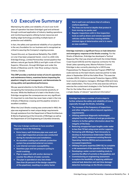# **1.0 Executive Summary**

Maintaining the safety and reliability of Line 5 over its 60 years of operation has been Enbridge's goal and achieved through continued application of industry-leading operations and monitoring programs utilizing human resources and leading-edge technology providing multiple layers of protection and reliability.

In fact, the safety and operational reliability of our pipelines is the very foundation for our business and is recognized as critical to assuring the Company's ongoing success.

Toward this end, an Operational Reliability Plan (ORP) on Line 5 has been prepared herein. Line 5 is a 645-mile Enbridge Energy, Limited Partnership-owned pipeline that delivers natural gas liquids (NGLs) and light crude oil from Superior, Wisconsin, through Michigan and under the Straits of Mackinac and St. Clair River ending in Sarnia, Ontario, Canada.

**This ORP provides a technical review of Line 5's operations and maintenance history, examines factors impacting the pipeline's integrity and management, and demonstrates its strong safety and operational performance.**

We pay special attention to the Straits of Mackinac, recognizing the tremendous environmental sensitivity of the area. While the likelihood of a leak in the Straits is low, Enbridge recognizes the consequences are very significant. It's important to note there has never been a leak in the Line 5 Straits of Mackinac crossing and the pipeline remains in excellent condition.

When the Line 5 Straits crossing was constructed in 1953, the pipe was engineered to meet unique design requirements through assistance from the Department of Naval Architecture & Marine Engineering at the University of Michigan as well as the Department of Civil Engineering at Columbia University.

**The Line 5 design continues to have excellent longevity due to the following:**

- **• Extra heavy wall thickness pipe was used and a very rigid inspection process was conducted during its manufacture and installation;**
- **• An excellent coating and cathodic protection system has prevented external corrosion;**
- **• Low internal corrosion susceptibility;**
- **• Seamless pipe and low pressure cycling to avoid cracking;**
- **• Pipe is supported with anchor devices to counter the effects of water currents;**
- **• The pipe is operated at very low stress (less than 25 percent of the design capability of the pipelines), resulting in a safety factor**

#### **that is well over and above that of ordinary onshore pipelines;**

- **• The lines are buried at depths that protect it from moving ice packs; and**
- **• Regular inspections with in-line inspection tools as well as divers and remote operated vehicles confirm that the crossing exhibits minimal signs of deterioration and is in nearly as-new condition.**

**Enbridge maintains a significant focus on leak detection and emergency response at the Straits crossing**. For the Straits of Mackinac, Enbridge has developed a Tactical Response Plan that was shared with both the United States Coast Guard (USCG) and the response contractor for the Great Lakes operating area, Marine Pollution Control. Enbridge is also currently planning for a USCG area Preparedness For Response Exercise Program (PREP) full scale exercise as the lead industry exercise partner to take place in September 2014 at the Indian River. This exercise includes USCG, US Environmental Protection Agency (EPA), local county emergency managers, Michigan DEQ and many other stakeholders. The focus of the area exercise will be to exercise the containment strategies in the Tactical Response Plan for the Indian River and to establish

a single display of relevant "operational information".

**Enbridge has taken a number of extra steps to further enhance the safety and reliability of Line 5, especially through the Straits, including:**

- **• The increase of the frequency of inspections and other mitigation efforts beyond regulatory requirements;**
- **• Utilizing additional diagnostic technologies adopted from the offshore oil and gas production industry to further gather information about the integrity of the lines;**
- **• Reducing unsupported span lengths under water to less than 75 feet using screw anchor supports;**
- **• Partnering with Michigan Tech University to develop an Autonomous Underwater Vehicle (AUV), that will complement existing Remote Operating Vehicles (ROVs) and accommodate increased inspections;**
- **• Utilizing 3rd party expertise (DNV GL) to complete a risk assessment of the operation at the Straits;**
- **• Developing a water current modeling study to examine the effect of currents on the pipelines; and**
- **• Commissioning an engineering assessment to explore the feasibility of applying additional external leak detection and real-time damagedetection technology on the Straits crossing.**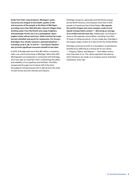**Aside from their natural beauty, Michigan's water resources are integral to the health, quality of life and economy of the people in the State of Michigan, providing more than 666,000 jobs. Several villages draw drinking water from the Straits and cargo freighters and passenger ferries use it as a passageway. Sport anglers chase salmon and trout, while commercial crews harvest whitefish and perch for restaurants. For its part, Enbridge's four wholly-owned or operated pipelines including Lines 5, 6B, 17 and 79 — and Vector Pipeline also provide significant economic benefit to the state.** 

In 2013, Enbridge paid more than \$21 million in property, sales, use, and income taxes in Michigan. More than 250 Michiganders are employed or contracted with Enbridge, all of who play an important role in maintaining the safety and reliability of our pipelines and facilities. The NGLs transported through Line 5 (nearly half of the line's throughput) include propane that is delivered to the state to heat homes and fuel vehicles and industry.

Enbridge transports, generates and distributes energy across North America, and employs more than 11,000 people in Canada and the United States. **We operate the world's longest and most complex crude oil and liquids transportation system — delivering an average of 2.2 million barrels each day**. Additionally, we transport close to 100 separate commodities, including more than 10 types of refined products. On any single day, Enbridge is the largest single conduit of crude oil into the United States.

Enbridge continues to build on a foundation of operational excellence by adhering to a strong set of core values — Integrity, Safety, and Respect — that reflect what is truly important to us. The values represent the basis by which decisions are made, as a company and as individual employees, every day.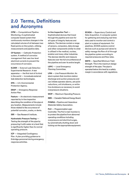# **2.0 Terms, Definitions and Acronyms**

**CPM** — Computational Pipeline Monitoring. A sophisticated computer-based system that continuously monitors changes in the calculated volume of oil between two fixed points on the system, utilizing measurements and pipeline data.

**CP System** — Cathodic Protection system. A method of corrosion management that uses low-level electrical currents to prevent the occurrence of corrosion.

**ELDER** — External Leak Detection Experimental Research. A test apparatus — the first tool of its kind in the world — to evaluate external leak detection technologies.

**EPA** — U.S. Environmental Protection Agency.

**ERAP** — Emergency Response Action Plan.

**Feature** — An electronic measurement reported by in-line inspection describing the condition of the pipe at any location. Measurements include those related to the occurrence of potential corrosion, cracks, or dents.

**GRI** — Gas Research Institute.

**Hydrostatic Pressure Testing** — Testing the strength of the pipe by pressuring it with water at a level that is significantly higher than its normal operating pressure.

**ICP** — Integrated Contingency Plan. A plan providing guidance to Enbridge personnel during emergency response activities.

#### **In-line inspection Tool** —

Sophisticated devices that travel through the pipeline and scan for all types of integrity features and defects. The devices contain a range of sensors, computers, data storage and other components similar to what is utilized in the medical, nuclear, aviation and many other industries. The devices identify and measure features over the full circumference of the pipeline and over its entire length.

**LEPC** — Local Emergency Planning Committee.

**LPM** — Line Pressure Monitor. An alarm system that monitors station discharge and suction pressures and can initiate operator alarms, set-point reductions, unit shutdowns, or entire line shutdowns as necessary to avoid overpressure situations.

**MOP** — Maximum Operating Pressure.

**NEB** — Canada's National Energy Board.

**PHMSA**—Pipeline and Hazardous Materials Safety Association.

**PLC** — Programmable Logic Controller. The PLC's main function is to protect the pipeline from abnormal operating conditions including overpressure and electrical surges, by automatically shutting down and locking out the appropriate equipment. **SCADA** — Supervisory Control and Data Acquisition. A computer system for gathering and analyzing real-time data used to monitor and control a plant or a piece of equipment. For pipelines, SCADA systems control devices such as pumps and valves to safely manage the flow of oil through the pipeline system according to required pressures and flow rates.

**SMYS** — Specified Minimum Yield Strength. This is the maximum design strength of the pipe. The pipe is operated below this level by a safety margin in accordance with regulations.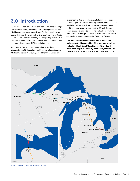# **3.0 Introduction**

Built in 1953, Line 5 is 645 miles long; beginning at the Enbridge terminal in Superior, Wisconsin and servicing Wisconsin and Michigan as it runs across the Upper Peninsula and down to eastern Michigan before it ends at Enbridge's terminal in Sarnia, Ontario. Line 5 has the capacity to transport up to 540,000 barrels per day (bpd) of light crude oil, light synthetic crude and natural gas liquids (NGLs), including propane.

As shown in Figure 1, from the terminal in northern Wisconsin, the 30-inch diameter Line 5 travels east across Michigan's Upper Peninsula (around the Great Lakes) until

it reaches the Straits of Mackinac, linking Lakes Huron and Michigan. The Straits crossing consists of two 20-inch parallel pipelines, which lay securely deep under water and then come ashore where the two 20-inch lines once again join into a single 30-inch line on land. Finally, Line 5 runs southeast through the state's Lower Peninsula before eventually terminating at Sarnia, Ontario in Canada.

**Line 5 facilities in Michigan include a terminal and tankage at Gould City and Bay City, and pump stations and related facilities at Gogebic, Iron River, Rapid River, Manistique, Naubinway, Mackinaw, Indian River, Lewiston, West Branch, North Branch, and Marysville.** 



Figure 1. Line 5 and Line 5 Straits of Mackinac crossing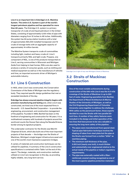**Line 5 is an important link in Enbridge's U.S. Mainline System. The entire U.S. System is part of the world's longest petroleum pipeline and has operated for more than 60 years.** The Enbridge U.S. system is a primary transporter of crude oil and liquid petroleum in the United States, consisting of approximately 5,100 miles of pipe with diameters ranging from 12 inches to 48 inches. Additionally, the system has 64 pump station locations with a total of approximately 920,000 installed horsepower and 72 crude oil storage tanks with an aggregate capacity of approximately 14 million barrels.

The Mainline System transports crude oil commodities including light, medium and heavy crude oil. Line 5 transports primarily NGL and light crude. Propane, one component of NGL, is one of the products transported on Line 5, serving communities in Wisconsin and Michigan. Aside from helping to heat homes, NGLs are also used to produce a variety of consumer goods, such as clothing and medical equipment as well as in the manufacture of vehicles and tires, an important economic driver of Michigan's automobile industry.

### **3.1 Line 5 Construction**

In 1953, when Line 5 was constructed, the Conservation Commission of the State of Michigan was the regulatory body. They required specific design guidelines that met or exceeded standards of the day.

**Enbridge has always ensured pipeline integrity begins with precision manufacturing and testing** and, when Line 5 was constructed, we hired one of the most respected firms in the world – U.S.-based Bechtel Corporation – to provide the engineering, procurement, and construction management of the pipeline. Founded in 1898, Bechtel has been on the forefront of engineering and construction for 116 years. It is a multinational company with hundreds of projects around the world and counts the Hoover Dam along the Nevada/Arizona border among its signature projects.

The underwater contractor for the Straits was Merritt-Chapman & Scott, which also built one of the most important projects of that decade — the bridge over the Straits of Mackinac, Michigan's single largest infrastructure asset and one of the world's most impressive suspension bridges.

A variety of materials and construction techniques can be utilized for pipelines. A summary of the Line 5 construction specifications is contained within Table 1 at the end of this report. The design, materials, and construction methods utilized on Line 5 are recognized, to this day, as providing highly reliable, very long-term service.



Enbridge Line 5 right-of-way near Michigan's Straits of Mackinac

### **3.2 Straits of Mackinac Construction**

**One of the most notable achievements during construction of the 645-mile Line 5 was the 4.6-mile crossings of the Straits of Mackinac in up to 220 feet of water. Engineering specialists from Bechtel, the Department of Naval Architecture & Marine Studies of the University of Michigan, as well as the Civil Engineering Department of Columbia University came together to address the challenge. With safety as the paramount factor, those experts decided to cross the Straits with two parallel 20 inch lines. A number of key safety features were included in the design and initial operation of the two lines that have proven to be very valuable in ensuring the long-term safety of the pipeline:** 

- **• The pipes were manufactured from special steel. Typical pipe fabrication technique involves the shaping of tubes from steel plate but the pipe at the Straits was formed from a molten "billet" as seamless piping;**
- **• The minimum wall thickness of the pipe, 0.812 inch (nearly one inch), is much thicker and substantially over-engineered relative to the actual needs of the pipeline or today's regulatory requirements;**
- **• The pipe was externally coated with a fiberreinforced, enamel coating recognized as one of the most superior pipeline protection materials1 ;**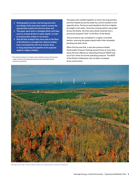- **• Hydrographic surveys, test boring and echo soundings of the area were used to ensure the appropriate location for the two lines; and**
- **• The pipes were laid in a dredged ditch until they were in at least 65 feet of water depth, in order to avoid anchor strikes or ice action.**
- **• Past 65 feet of depth they were laid on the floor of the Straits in a straight line. Recent studies have concluded the risk of an anchor drop or drag impacting the pipeline at its exposed depths is highly unlikely.**
- 1 This external coating is no longer used in pipeline construction because modern materials provide equal protection but with better factory production properties.

The pipes were welded together on shore into long sections and then floated across the water by a winch located on the opposite shore. Pontoons were banded to the line to lighten its weight in the water. Once the crossing section was pulled across the Straits, the lines were slowly lowered onto a previously prepared "bed" on the floor of the Straits.

That procedure was completed in a highly controlled fashion, ensuring the pipes stayed within their allowable bending and span limits.

When the line was laid, it was also pressure tested (Hydrostatic Pressure Testing) several times at more than twice the line's Maximum Operating Pressure (MOP) and up to four times its normal operating pressure. The MOP of the Straits of Mackinac has not been increased since construction.



Enbridge Line 5 right-of-way (middle of photo) as it approaches the Straits of Mackinac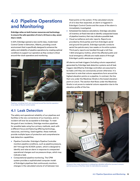# **4.0 Pipeline Operations and Monitoring**

**Enbridge relies on both human resources and technology to ensure the safe operation of Line 5, 24 hours a day, seven days a week.** 

In 2011, Enbridge opened a new world-class, modernized Control Center in Edmonton, Alberta, providing a work environment that is specifically designed to enhance the safety and reliability of pipeline operations by creating optimal conditions to support our operators as they conduct critical around-the-clock operations and monitoring.



Pipelines, including Line 5, are monitored around the clock by operators in our state-of-the-art control center

# **4.1 Leak Detection**

The safety and operational reliability of our pipelines and facilities is the very cornerstone of our business, and no incident will ever be acceptable to Enbridge. To meet the goal of zero incidents, Enbridge monitors pipelines for possible leaks using four primary methods, each with a different focus and featuring differing technology, resources, and timing. Used together, these methods provide multiple layers of protection and comprehensive leak detection capabilities.

- Pipeline Controller. Enbridge's Pipeline Controller monitors pipeline conditions, such as pipeline pressure, 24/7 through the SCADA system, which is designed to identify and raise an alarm in response to unexpected operational changes such as pressure drops, which may indicate a leak.
- Computational pipeline monitoring. The CPM system provides a sophisticated computer model of Enbridge's pipelines that continuously monitors changes in the calculated volume of oil between two

fixed points on the system. If the calculated volume of oil is less than expected, an alarm is triggered in Enbridge's Control Centre and the cause of the alarm is immediately investigated.

- Scheduled line-balance calculations. Enbridge calculates oil inventory at fixed intervals to identify unexpected losses of pipeline inventory that may indicate a possible leak.
- Visual surveillance and odor reports. Reports are provided by third parties and from Enbridge's aerial and ground line patrols. Enbridge typically conducts aerial line patrols every two weeks on its entire system. Third-party reports are handled through a toll-free 1-800 emergency hotline, which the affected public and local emergency officials are made aware of through Enbridge's public awareness program.

All alarms and leak triggers (including column separation) generated by Enbridge leak detection systems and all leak triggers identified by Enbridge controllers are assumed to be leaks until they are conclusively proven otherwise. It is important to note that column separations form around the highest elevation points on a pipeline. In contrast, the line that runs under the Mackinac Straits is the lowest elevation point on Line 5. The section that flows under the Mackinac Straits is not prone to material column separation due to the elevation profile of the line.



Ultrasonic flow meter technician is undergoing a detailed calibration process to ensure optimal accuracy of the flow meter for leak detection purposes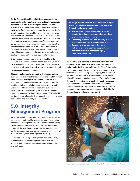**At the Straits of Mackinac, Enbridge has established additional pipeline control elements. Line 5 has remotely operated shut-off valves along the entire line, and specifically at the upstream and downstream shores of the Straits**. Both lines running under the Mackinac Straits are also protected by local low pressure shutdown logic that will initiate a cascade shutdown of Line 5 and isolate the lines under the straits in the event that a leak in either line creates a low pressure condition. The segments would be isolated within approximately three minutes from the time that the low pressure is detected. Additionally, the facility at the Straits of Mackinac has redundant systems that will ensure communication and valve actuation are available in the event of a main power interruption.

Enbridge continuously improves its capability to detect leaks on its pipelines. Over the last several years, we have focused significant time and resources in several areas to improve overall capability and system performance in both human resources and technology.

**Since 2011, changes introduced to the leak detection systems resulted in further improvements of CPM system reliability and alarm performance on Line 5**. In 2013, leak detection analysts in the control center underwent additional training, including team-based training and unannounced fluid withdrawal tests that evaluated the system performance including the operators and leak detection analysts. Further improvement of CPM reliability continues to be a focus for the area, with 2014 (year to date) seeing additional reliability improvements.

# **5.0 Integrity Management Program**

When properly built, operated, and maintained, pipelines can have an indefinite life, and it is common for pipeline operators to manage their assets as such by preemptively repairing the infrastructure. That strategy of indefinite operating life span is not unique to steel pipelines, and similar operating approaches are applied to other types of steel structures, such as bridges and buildings.

Compared to most types of engineered infrastructure, pipelines are a relatively simple structure with very sophisticated diagnostic and assessment technologies and methods.

**Enbridge applies all of the most advanced integrity methods and also drives ongoing improvements through the following actions:**

- **• Participating in the development of national standards, industry-recommended practices, and leading industry forums;**
- **• Partnering with vendors and industry to lead and fund technology advancements; and**
- **• Examining programs from other highrisk industries and applying the practices that enable them to operate as highly reliable organizations.**

**All of Enbridge's mainline systems are inspected and examined using the most sophisticated techniques, including in-line inspection (ILI) tools**. While Enbridge has always been one of the biggest users of technology and technical resources for pipeline integrity, the events and learnings related to the 2010 Marshall Michigan incident (Line 6B), the worst pipeline release in Enbridge's history, showed that even the use of the best industry practices of the time were insufficient. As a result, substantive improvements have been made to the Enbridge integrity management practices, advancements that Enbridge is sharing globally and applying on Line 5.



Welder is conducting pipeline repair as part of Enbridge's Integrity Management Program.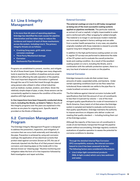# **5.1 Line 5 Integrity Management**

**In its more than 60 years of operating pipelines, Enbridge has identified the main causes for pipeline deterioration and has taken steps to reduce the incidence and impact of each of these mechanisms across the system, including Line 5. The primary integrity threats are as follows:**

- **• Cracking (long seam, girth weld, stress corrosion cracking)**
- **• Third-Party/Mechanical damage**
- **• Corrosion**
- **• Geohazards/Pipe Movement**

Programs are established to prevent, monitor, and mitigate for all of those threat types. Enbridge uses many diagnostic tools to examine the condition of pipelines and pre-empt defects from affecting the safe operation of the pipeline. The most important diagnostic information is gathered through the use of ILI tools that travel through the pipes using sensors also utilized in other critical industries such as medical, nuclear, aviation, and others. Given the relatively simple shape of pipe, a tube, those sensors can be conveniently applied to measure the condition of the entire pipeline with high precision.

**In-line inspections have been frequently conducted along Line 5, including the Straits, as listed in Table 2.** Results of the integrity programs over the years are explained in this section as are plans for ongoing work. Specific detail is provided on the Straits of Mackinac.

# **5.2 Corrosion Management Program**

The Enbridge Integrity Management Program is designed to address the prevention, inspection, and mitigation of corrosion that can occur both externally and internally to the pipe. Prevention is achieved by using anti-corrosion coatings; the application of low electrical currents that protect steel against corrosion (known as CP); the use of chemicals injected into the flow of oil that prevent internal corrosion; and cleaning pipes on the inside with in-line devices known as "cleaning pigs." Routine monitoring and mitigation takes the form of in-line inspection followed by field investigation and repair activities.

#### **External Corrosion**

**The external coatings on Line 5 is still today recognized as being one of the most successful coating systems applied on pipelines worldwide.** The particular material, an extract of coal or asphalt, is highly impermeable to water and is reinforced with a fiber wrapping for added strength. The material is no longer in use because modern materials are more easily applied in factory settings and are safer from a worker health perspective. In any case, any pipeline originally installed with those materials is viewed to provide superior long term integrity performance.

In addition to the high performance coating system on Line 5, regular CP surveys are performed to determine the state of the CP system and to evaluate the overall protection levels and coating condition. As a result of the excellent coating system on Line 5, including the Straits, and in combination with the cathodic protection system, there is a very low level of external corrosion on the pipeline.

#### **Internal Corrosion**

Enbridge transports crude oils that contain trace amounts of water, suspended solids, and bacteria. Under certain operating conditions (such as low flow rates/low turbulence) those materials can settle to the pipe floor to create localized corrosive conditions.

The first defense against internal corrosion includes tariff specifications that limit the amount of non-oil constituents to less than 0.5 percent by volume — one of the most stringent quality specifications for crude oil transmission in North America. Every batch of oil that enters the Enbridge system is sampled and tested to evaluate conformance to that quality specification. Enbridge maintains the authority to impose sanctions on shippers who deliver crudes not meeting that quality standard — including locking them out of the Enbridge system.

Although the majority of the trace non-oil constituents in crude oil are harmlessly transported through the pipeline system without accumulating, Enbridge regularly conducts evaluations of pipeline operation to assess the potential for corrosive conditions to develop.

**Through the detailed Internal Pipe Corrosion (IPC) susceptibility analysis, the internal corrosion hazard to Line 5 has been assessed to be low. The following factors were considered in the analysis:**

**• Line 5 ships light conventional products (NGL & light crudes) which carry less sediment and water;**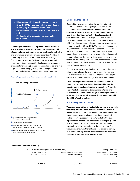- **• ILI programs, which have been used on Line 5 since the 1970s, have been reliable and effective in managing metal loss on the line and the growth rates have been demonstrated to be low; and**
- **• Product flow flushes sediment/water out of the pipeline.**

**If Enbridge determines that a pipeline has an elevated susceptibility to internal corrosion due to the possibility of accumulating sediment or water, additional monitoring and prevention programs are implemented.** Additional monitoring may include direct corrosion monitoring (using coupons, electric field mapping, ultrasonic wall measurement), or increased in-line inspection frequency; or indirect monitoring (such as chemical/biological analysis of pipeline fluids and pig solids). Additional prevention programs include cleaning and/or inhibition treatments.

#### Figure 2: Proper Maintenance Assures Asset Longevity (indefinite life)



- **1** Existing benign flaws in a new pipeline (No impact on pipe safety)
- <sup>2</sup> Potential onset of flaw growth
- **3** Pipeline is revalidated through ILI monitoring & mitigation of flaws determined to be defects
- **4** Remaining flaws, well below safety factor, that are monitored through ongoing program

#### **Corrosion Inspection**

Detailed information regarding the pipeline's integrity condition is obtained through high-resolution in-line inspections. **Line 5 continues to be inspected and assessed with state-of-the-art technology to monitor, identify, and mitigate potential threats associated with corrosion**. A total of 25 high-resolution metal loss inspections have been completed on the line since the mid-1990s. Most recently all segments were inspected for corrosion in either 2012 or 2013. Our Integrity Management Program requires in-line inspection programs to include repair and correlation excavations based on the most recent defect assessment criteria being utilized. In general, corrosion features that have a determined failure pressure that falls within the operational safety factor or are deeper than 50 percent of the pipe wall thickness are identified for excavation and assessment.

On Line 5 corrosion is predominantly shallow in depth and minor in overall severity, and external corrosion is more prevalent than internal corrosion. All features with depth greater than 50 percent through wall have been repaired.

**The ILI re-inspection intervals are planned such that anomalies can be identified and mitigated before they pose threats to the line, depicted graphically in Figure 2. The established programs that manage internal and external corrosion on the Enbridge pipeline system meet or exceed the current Pipe Strength Tolerance defined by the MOP of each pipeline.**

#### **In-Line Inspection Metrics**

**The metal loss metrics, including total number and per mile frequency on Line 5 are summarized in the chart shown below.** As shown in the table below, there were no features found during the recent inspections that encroached on the operating pressure. No features fell within the repair criteria. Six features were found with depth greater than 50 percent. All six features have been scheduled for repair, which will complete by the end of 2014. The frequencies shown in the table are considered to be very low, demonstrating that the performance of the corrosion management program has been effective.

| General Metal Loss Rupture Pressure Ratio (RPR) | <b>Pitting Metal Loss</b>                  |                                                  |
|-------------------------------------------------|--------------------------------------------|--------------------------------------------------|
| Flaws Near Pipe<br>Strength Tolerance           | Flaws Meeting Enbridge<br>Repair Tolerance | Flaws Meeting Enbridge<br>Repair Tolerance<br>-6 |
| 0.000/mi                                        | 0.000/mi                                   | 0.009/mi                                         |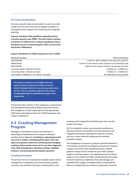#### **Corrosion Growth Rates**

Corrosion growth rates are calculated in order to provide insight into the current and future integrity condition of the pipeline and to support the monitoring and mitigation planning.

**Industry standards offer guidelines regarding typical corrosion growth rates (CRG). The chart below contains a summary of CGRs found in industry guidelines and/or standards and are compared against rates on Line 5 and the Straits of Mackinac.**

#### **Industry Guidelines for CGR Compared to Line 5 CGRS**

| 0.3mm/yr: 80% confidence max rate with 'good' CP                 |
|------------------------------------------------------------------|
|                                                                  |
| 0.31mm/yr max rate for active corrosion in low resistivity soils |
| 0.56mm/yr for pitting; 0.3mm/yr for general corrosion            |
| $0.038$ mm/yr - 0.068mm/yr                                       |
| $0.018$ mm/yr - 0.046mm/yr                                       |
| No observed corrosion growth                                     |
|                                                                  |

**The industry rates are much higher than the typical rates for external corrosion on Line 5, which indicates that Line 5 corrosion growth rates are low. This is consistent with the low number of repairable features identified through in-line inspections.**

The growth rates used for in-line inspection re-assessment interval determination take all these values into account and a judgment is made regarding the most appropriate CGR values that balances the Line 5 CGR experience with industry experience.

### **5.3 Cracking Management Program**

Enbridge is committed to being at the forefront of technological developments and research relating to cracking and its diagnosis. **Cracking is a phenomenon that can occur in metals, including pipeline steel. There are rigorous programs in place for monitoring and managing cracking, which entails a focus on ILI and other diagnostic tools, field investigations, laboratory testing, reliability analytics, and ensuring smooth pipeline operation**.

#### **Cracking Prevention**

The primary forms of cracking that typically require active management on pipelines are environmentally assisted cracking, such as Stress Corrosion Cracking (SCC), and

cracking at the longitudinal weld (the seam that runs the length of the pipe).

SCC is initiated by similar environmental conditions as external corrosion and benefits from the prevention and mitigation techniques employed for external corrosion such as a robust external coating and the cathodic protection system.

The management of pressure cycling is important because it is the primary driving force of fatigue crack growth. Pressure cycling is one of the many operational factors a liquids pipeline company has to monitor as part of their pipeline integrity cracking program. The operational source of those cycles can be complex but often include planned start/stops, mid-point injections or deliveries, flow rate changes, and unplanned line outages. Enbridge monitors all operational lines on a monthly basis for pressure cycling risks. Once the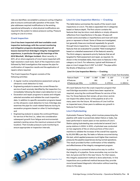risks are identified, we establish a pressure cycling mitigation plan to ensure continued safe operation of the asset. The plan addresses required modifications to the existing operational philosophy or what physical modifications are required to the system to reduce pressure cycling. Pressure cycling on Line 5 is minor.

#### **Crack Inspection**

**Line 5 has been inspected with best available crack inspection technology with the current monitoring and mitigation programs developed based on all lessons learned from Enbridge's integrity management experience, in particular through the learnings of the 2010 Marshall, Michigan incident.** Most recently, in 2011, all on-shore segments of Line 5 were inspected with high-resolution crack tools. Each of the inspections were followed by field investigations that expose the pipe for confirmation of inspection results and the application of repairs where required.

The Crack Inspection Program consists of the following activities:

- A regular routine comprehensive assessment using an ultrasonic crack detection ILI tool;
- Engineering analysis to assess the current fitness-forservice of each anomaly identified by the inspection (i.e., immediately following the latest crack detection ILI run);
- Excavation and repair programs to assess and mitigate selected anomalies and validate the crack inspection data. In addition to specific excavation programs based on the ultrasonic crack detection ILI tool, Enbridge also examines the pipe for crack-related features during its excavation programs based on other ILI technologies; and
- Engineering analysis to assess the continued fitnessfor-service of the line (i.e., takes into consideration subsequent growth from fatigue and environmentalassisted cracking versus the maximum pressure at that location). That includes pressure cycle monitoring to ensure appropriate re-inspection intervals.



#### **Line 5 In-Line Inspection Metrics — Cracking**

The table below summarizes the results of the recent crack inspections on Line 5. The data is separated into 3 categories based on feature depth. The first column contains the features that may be minor crack defects or simply ultrasonic reflections from imperfections in the pipe. All pipe will contain some anomalies or imperfections and most will never grow or represent a threat. Some of these are investigated, but generally these are monitored repeatedly for growth through future inspections. The second category contains features that are evaluated for possible "field investigation" based on a detailed assessment of the feature's severity. The third category represents priority features that are all targeted for field assessment and repair, as required. As shown in the immediate table, there were no features in this category on Line 5. For reference, typical wall thickness of pipe on Line 5 ranges from 0.312" to 0.500". The pipe within the Straits of Mackinac is 0.812".

#### **Line 5 In-Line Inspection Metrics — Cracking**

|                      |                                   | Depth of ILI Crack Tool Anomalies |          |  |
|----------------------|-----------------------------------|-----------------------------------|----------|--|
| <b>Feature Depth</b> | $0.040" - 0.080" 0.080" - 0.120"$ |                                   | > 0.120" |  |
| # Features           | 661                               | 48                                |          |  |
| # Features per Mile  | 1.032/mi                          | 0.070/mi                          | 0.000/mi |  |

All crack features from the crack inspection program that met Enbridge excavation criteria have been repaired as required, ensuring the continued fitness for service of the line. For those features that remain, all are minor and do not impact the safety factor of the pipeline at all or for many years into the future. All sections of Line 5 will be re-inspected every three years to address any growth in features from fatigue.

#### **Line 5 Hydrotesting**

Hydrostatic Pressure Testing, which involves pressurizing the pipeline with water to proactively detect failure or leaks, has been performed in recent years on two sections of Line 5. Station piping hydrotesting was conducted at several Line 5 pump stations in 2004. In 2012, a hydrotest was conducted on two segments of the on-shore portions of the Line 5 mainline to validate the increase of the overall line capacity by 50,000 BBLs per day. No leaks or failures occurred during this test, which applied pressures much higher than maximum pressures the pipeline experiences during normal operations. This result provided further confirmation of the reliability and effectiveness of the integrity management program.

Hydrotesting is a somewhat destructive way to confirm the integrity of a pipeline. Some anomalies may survive the test, but grow and fail in the near future. For that reason, this integrity assessment method is done selectively. In-line inspections are a preferred method because they provide more broad-based diagnostic information without exerting stress to the pipe.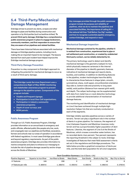# **5.4 Third-Party/Mechanical Damage Management**

Enbridge strives to prevent any dents, scrapes and other damage to pipes and facilities during construction and operation or by third parties (such as backhoe strikes). **To prevent third-party damage, Enbridge has a comprehensive public awareness program in place to engage landowners, community members, and first responders to ensure that they are aware of our pipelines and related facilities**.

There have been historical failures associated with mechanical damage on Enbridge pipeline systems, including Line 5, making this an important hazard to be managed. The lessons learned from each past incident have helped improve the Enbridge mechanical damage program.

#### **Third-Party Damage Prevention**

Prevention is a key component to Enbridge's approach to mitigating the potential for mechanical damage to occur as a result of third-party damage.

**The Enbridge Lands Services Department uses a comprehensive Right of Way (ROW) monitoring and stakeholder awareness program to prevent damage to the pipeline system. Components of the program include:**

- **• Visable and frequent signage;**
- **• Participation in local One-Call organizations;**
- **• Participation in industry community awareness programs;**
- **• Depth of cover surveys; and**
- **• ROW patrols.**

#### **Public Awareness Program**

Through our U.S. Public Awareness Program, Enbridge provides information on an annual basis to emergency and public officials, affected public (the people who live, work, and congregate near our pipelines and facilities), excavators, farmers and schools near our areas of operation in accordance with federal regulations. In most cases Enbridge goes above and beyond regulatory requirements. As part of the public awareness program, Enbridge also provides information to marine companies and plans to enhance our messaging to include the risk of pipeline damage caused by anchor drops across the Straits of Mackinac.

**Key messages provided through the public awareness program include the purpose and reliability of pipelines, what we do to maintain the pipelines and associated facilities, the importance of calling 811 the national toll-free "Call Before You Dig" number, and how to recognize a potential pipeline emergency, contact Enbridge, and respond or react.** 

#### **Mechanical Damage Inspection**

**Mechanical damage sustained by the pipeline, whether it is residual from construction, experienced due to pipe or soil settlement post construction, or created by undetected third-party contact, can be reliably detected by ILI.** 

The primary technology used to detect and identify mechanical damage is the geometry (caliper) ILI tool, which physically measures variances in the internal diameter of the pipeline to identify geometry features indicative of mechanical damage and reports dents, buckles, and ovalities. In addition to identifying features in the pipeline, modern technologies have the ability to characterize those features in shape (plain, smooth, symmetrical, sharp, multi-apex), circumferential orientation (top side vs. bottom side and proximity to long seam welds), axial position (distance from nearest girth weld), and depth. The caliper technology can be supplemented with data from metal-loss or crack detection technology to provide additional characterization of mechanical damage features.

The monitoring and identification of mechanical damage on Line 5 has been achieved through multiple highresolution Caliper ILIs that are routinely conducted on each of the segments.

Enbridge reliably operates pipelines across a variety of terrains. Terrain can play a significant role in the number of dents in a given pipeline. For instance, the segment of Line 5 between Superior and Mackinac traverses rocky terrain and has a proportionately higher population of dent features. Likewise, the segment of Line 5 at the Straits of Mackinac, which crosses a smoother water bottom, has no recorded dents >two percent. Two percent represents the reporting threshold in the caliper ILI tools. Enbridge investigates all features that meet field assessment criteria set out in the regulations and Enbridge procedures. The table below provides a graphical comparison of dents per mile, and the total dent population for all Line 5 segments.

**Dent Condition Summary** Line 5 (Dents > 2%)

| Pipeline Segment    | Superior to Iron River | Iron River to Straits | <b>West Straits</b> | East Straits | Straits to Bay City | Bav City to Sarnia |
|---------------------|------------------------|-----------------------|---------------------|--------------|---------------------|--------------------|
| # Features          | 144                    | 258                   |                     |              |                     |                    |
| # Features per mile | 0.829/mi               | 1.266/mi              | 0.000/mi            | 0.000/mi     | 0.892/mi            | 0.076/mi           |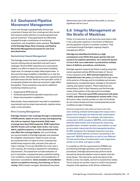# **5.5 Geohazard/Pipeline Movement Management**

Line 5 runs through a geographically diverse area comprised of slopes and river crossings and other terrain that requires careful attention to prevent geotechnical ground movement. Those geohazards are effectively managed through a combination of monitoring, assessment, and remediation when required. **The details of the Enbridge Slope, River Crossing, and Pipeline Movement Management processes for Line 5 are described below.** 

#### **Geotechnical Hazard Management**

The Enbridge system has been surveyed for geotechnical hazards utilizing external specialists and each area is cataloged. Routine ROW inspections are conducted biweekly in an effort to detect any area where instability might exist, for example at steep-sided sloped areas. In the event that slope instability is identified on or near the pipeline corridor, Enbridge engineers and/or a geotechnical specialist assess the site. Based on that specialist review, it is evaluated whether the observed movement might affect the pipeline. Those evaluations may lead to additional monitoring initiatives such as:

- Supplemental ROW patrols;
- Scheduled geotechnical specialist inspections; and
- Slope instrumentation installations.

Alternatively, those assessments may lead to remediation requirements such as slope improvements, pipeline stress relief, or line relocation.

#### **River Crossing Management**

**Enbridge monitors river crossings through a combination of ROW patrols, depth of cover surveys and engineering site visits as required. Approximately 3000 water crossings have been field inspected. ROW inspections identify threats such as high water levels, river scour, debris, pipeline exposure, or other phenomenon that may affect the crossing integrity.** Any such findings are communicated to Enbridge engineers and assessed for mitigation requirements. Depth of cover surveys are conducted every 10 years at minor crossings that exhibit lesser exposure risks, and every five years at major crossings. If a survey identifies low cover near a river crossing, the crossing is assessed for remediation requirements. The assessment includes evaluation of any ILI anomalies, unsupported spans, potential loading, river conditions, crossing location, and consideration of landowner consultations. **Some examples of remediation options are pipeline armoring, line lowering, or line rerouting**. While closely managed, Geohazards have been

determined, due to the relatively flat profile, to not be a significant risk for Line 5.

### **5.6 Integrity Management at the Straits of Mackinac**

Firstly, it is important to note there has never been a leak in the underwater pipelines in the Straits of Mackinac and the pipelines remains in excellent condition. That is achieved through Enbridge's ongoing integrity management efforts.

**Enbridge has identified the Straits as a high consequence area (HCA) that poses special risks and concerns for pipeline operations. As a result the section of Line 5 that runs underwater is protected by multiple layers of defense, procedures, and devices.**

Enbridge regularly inspects the Straits crossing using both remote operated vehicles (ROVs) and state-of- the-art in-line inspection tools. **ROV external inspections are conducted every two years**, providing the thorough review of the exterior of the pipe and its immediate environment, assessing any unsupported spans, damage to the external coating, and support systems. These inspections are extraordinary, both in their frequency and the thorough review of the exterior of the pipe and its immediate environment. **The most recent ROV assessment took place in 2012, and another is scheduled for summer 2014**. Other, third party video, recently posted on a part of the Straits do not contain threats and have mischaracterized certain conditions as signs of damage.

**Internal inspections take place at least every five years utilizing multiple technologies that assess every square inch of the pipe for features that could impact its structural integrity. For example, the inspections conducted in 2012 included a GEOPIG, which detects potential deformation and movement by measuring possible dents, wrinkles, buckles, and ovalities, as well as accurately measuring the line's geospatial position. An MFL (magnetic flux leakage) inspection was also conducted which detects corrosion and pitting in the pipe wall. GEOPIG inspections as well as two different ILI tools performing circumferential crack inspections will be run in 2014, and again in 2018.**

In compliance with the requirement by PHMSA and by following Enbridge operations and maintenance procedures, Enbridge personnel also perform aerial line patrols along the pipeline route at regular intervals at the Straits. The interval for aerial line patrol at the Straits is every two weeks, and not to exceed three weeks. The air patrols are another means to confirm the physical integrity of the pipelines of the Straits of Mackinac.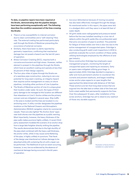**To date, no pipeline repairs have been required at the Straits, demonstrating that the pipeline designs have been performing exceptionally well. The following describes the condition assessment of the lines crossing the Straits:**

- There is a low susceptibility to internal corrosion due to clean commodities and a "self-cleaning" flow rate. The external coating has performed particularly well through the Straits of Mackinac preventing the occurrence of external corrosion.
- Similarly, there have been no dents reported by geometry inspections, confirming that mechanical damage has not posed a hazard over the last 60 years of operation.
- Stress Corrosion Cracking (SCC), requires both a corrosive environment and high stress. However, neither element is present in the pipelines through the Straits, which have an excellent coating and operate at less than 25 percent of their design capacity.
- The four-plus miles of pipes through the Straits are of a seamless pipe construction, reducing to zero any potential for long-seam cracking, an integrity hazard that requires active management on many on-shore pipelines, including other portions of Line 5 pipeline.
- The Straits of Mackinac portion of Line 5 is unique given their location under water. As such, the types of thirdparty damage to be managed at this location are different than elsewhere on Line 5. Anchor strikes are the primary concern and are mitigated in several ways. Ship traffic in the area is modest and the lines are located in a noanchoring zone. A utility corridor designates the pipelines locations on the National Oceanic and Atmospheric Administration (NOAA) navigation charts for commercial vessels. There are also lighted "No Anchor Zone" signs near both shores over the pipelines as a public warning. Most importantly, however, the heavy thickness of the pipe walls makes puncture highly unlikely. A recent thirdparty assessment modeled the scenario of an anchor drop from a large lake freighter directly striking the pipeline. The results demonstrate that due to the high ductility of the pipe steel combined with the heavy wall thickness, the anchor strike, while it may cause some flattening of the pipe, is highly unlikely to puncture. That facet of the design was intentional as it allows damage to be absorbed while still containing the oil until a repair can be performed. The likelihood of such an event occurring, however, is very low as evidenced by the absence of mechanical damage having occurred in the 60 years of operation.
- Ice scour (disturbance because of moving ice packs) has also been effectively managed through the design. As mentioned earlier in this report, the pipes were laid in a dredged ditch until they were in at least 65 feet of water depth.
- All girth welds were radiographed and pressure tested before the line was installed resulting in a low risk of defects within the girth welds (the circumferential weld that joins one section of pipe to another). The potential for fatigue of these welds over time is also low due to the active management of unsupported spans. Enbridge is also conducting girth-weld crack inspections in 2014 to positively evaluate the current condition of these welds, utilizing technologies employed by the offshore oil and gas industry.
- Since construction Enbridge has employed a span management program, monitoring the length of unsupported spans and repairing as necessary. Early on spans were mitigated utilizing grout bags. In approximately 2002, Enbridge decided to engineer a safer and more permanent solution to counteract the currents and prevent washouts, and began installing screw anchor pipe supports on span lengths that approached the determined safe distance of 140 feet. These anchors are ten-foot-long steel screws that are augured into the lake bed on either side of the lines and hold a steel saddle that permanently supports the lines. Over the subsequent 12 years, after installation of the screw anchors, Enbridge has yet to observe any washout of those very durable supports.

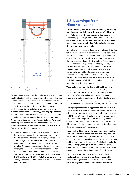



Federal regulation requires that underwater laterals such as the Straits pipelines be inspected every five years. Enbridge instead chose a more conservative, voluntary inspection cycle of two years. During our regular two-year underwater inspections, if we should find any washout of existing earthen supports, we install new, screw anchor pipe supports at the affected location(s), ensuring a permanent support solution. The maximum spans we have discovered in the last ten years are approximately 90 feet, or about 64 percent of the maximum safe span distance. As a result of the support installation program that ended in 2012, Enbridge achieved an average span length of less than 75 feet, or a "two times" safety factor.

• With the additional anchors to be installed in 2014 and the existing supports, the average span distance will drop to less than 50 feet or, on average, a "three times" safety margin. This safety margin is reflective of the environmental importance of this significant water crossing. Since their construction, the pipelines have undergone 17 submarine pipeline inspections. After 1972, inspections were conducted at least every five years as required by the Department of Transportation (DOT) regulations (49 CFR 195). In the last several years Enbridge has increased this frequency of inspections to every two years.

# **5.7 Learnings from Historical Leaks**

**Enbridge is fully committed to continuously improving pipeline system reliability with the goal of achieving zero failures. Integrity programs are designed to eliminate pipeline ruptures and minimize leaks. This is done, in part, by focusing on the conditions that have been known to cause pipeline failures in the past and then working to minimize risk.** 

No matter what the size or location of a release, Enbridge takes every incident very seriously and treats it as a top priority to respond to the incident and fully examine the cause. Every incident is fully investigated to determine the root causes and contributing factors. Those findings, as well as those of regulators and other agencies, are incorporated into actions focused on improving management systems. Incident response effectiveness is also reviewed to identify areas of improvement. Furthermore, to help enhance the overall safety of the industry, Enbridge shares the lessons learned with stakeholders within Enbridge, across industry and with regulators and first responders.

**The pipelines through the Straits of Mackinac have not experienced any leaks in six decades of operation**. While other portions of Line 5 have experienced failures, Enbridge's efforts in leading industry advancement in areas of prevention, monitoring, and mitigation have over the years resulted in a significant and steady reduction in events on Line 5 to achieve our final target of zero releases.

Enbridge's participation in aggressive and robust public awareness efforts and campaigns, along with the industry efforts to promote the one-call notification requirements and 811, the national "call before you dig" number, have greatly reduced the potential for third-party damage events. There has not been a leak on Line 5 caused by a third-party in 17 years, demonstrating the effectiveness of these damage prevention programs.

Equipment within pump stations and terminals can also be a source of leaks. These may occur at pump seals or bolted pipe connections, for example. These leaks are easily detected, and usually represent a very small volume, and the sites are quickly restored. While facility leaks do occur, Enbridge, through our Path to Zero program, is committed to continuously reducing the number of leaks on our system with the ultimate goal of zero incidents.

Enbridge operates and manages all our facilities and pipelines, including Line 5, in a safe and responsible manner. **The significant reduction in failures to the on-shore segments of Line 5 reflects our continuous**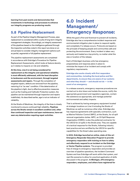**learning from past events and demonstrates that investments in technology and processes to enhance our integrity programs are producing results**.

### **5.8 Pipeline Replacement**

As part of the Pipeline Integrity Management Process, pipe replacement is considered within a suite of long-term integrity management strategies. Accordingly, an integrity assessment of the pipelines based on the intelligence gathered through the inspection activities noted in this report are done on an annual basis to consider integrity management options such as partial, segmental or full pipeline replacement.

The pipeline replacement assessments are completed in accordance with Enbridge's Procedure for Pipeline Replacement Assessments, which looks at feature density as it relates to impacts on risk and reliability.

**At this time, Line 5 is not being considered for replacement as the integrity and operational reliability is most efficiently addressed, with the least disruption to landowners and the environment, through targeted assessments and repairs.** Through the completion of targeted repairs, defects are removed from the pipeline, restoring it to "as new" condition. If the deterioration of the pipeline is light, due to effective prevention measures such as the Coating and Cathodic Protection system, the pipeline can be maintained through inspection and repairs indefinitely. As described earlier, age is not an indicator of reliability.

At the Straits of Mackinac, the integrity of the lines is closely monitored to ensure continued high reliability. **Pipelines across the Straits remain in excellent condition and, other than continued inspection and span maintenance, have not seen any deterioration requiring repair activities.**

# **6.0 Incident Management/ Emergency Response:**

While the goal is first and foremost to prevent all incidents, Enbridge also has a comprehensive incident response and environmental mitigation plan in place to respond rapidly and completely if a release occurs. Protocols are based on the principle of keeping people and communities safe and protecting the environment. Every incident is taken very seriously and treated as a top priority, no matter what the size or location of the release.

Each of Enbridge's business units has emergency preparedness and response plans in place to minimize the impact of an incident and comply with regulatory requirements.

**Enbridge also works closely with first responders and communities, including the local police and fire departments, to ensure they are aware of our systems and what they should — and should not do — in the event of an emergency.**

In a release scenario, emergency response procedures are carried out to shut down and isolate the source, notify the appropriate government and regulatory agencies, contain the substance as appropriate, and manage potential environmental and safety impacts.

That is achieved by having emergency equipment located at strategic locations on Line 5 including the Straits of Mackinac as well as numerous other sites. Enbridge also has response agreements with specialty contractors, such as Marine Pollution Control (MPC), at the Straits, for oil spill removal organization duties. MPC, an Oil Spill Response Organization (OSRO), is also the preferred contractor for the USCG for oil spills in the Straits area. They are capable of a tactical response for the Straits, following industry best practice and are certified by the USCG for specific capabilities for the Great Lakes operating area.

**In 2012, Enbridge launched an online, state-of-the-art Emergency Responder Education Program to provide emergency responders with training on how to safety and effectively respond to an incident on the Enbridge or Vector Pipeline systems**. The program is provided free of charge to emergency responders and provides an overview of pipeline operations, the Incident Command System and how Enbridge will work within that system, and real-life scenarios to allow for practical application of skills discussed in the program. **In Michigan, 270 emergency responders, employees, and others have registered for**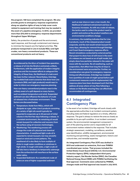**the program; 148 have completed the program. We also provide grants to emergency response organizations along our pipeline rights-of-way to help cover costs related to equipment and training that may be needed in the event of a pipeline emergency. In 2013, we provided more than \$70,000 to emergency response departments throughout Upper Michigan**.

Safety, the protection of people and the environment, rapid response, and thorough containment and cleanup to minimize the impacts are the highest priorities. **The products transported in Line 5 include NGLs and light crudes, non-heavy conventional products. These are conventional products and not heavy**.

**As evidenced by the 60yrs of incident-free operation, a release of oil into the Straits is extremely unlikely. Furthermore, with the application of modern integrity practices and the increased efforts to safeguard the integrity of these lines, the likelihood of a leak event has been further reduced. Nevertheless, Enbridge has modeled leak event scenarios that show how Line 5 products (NGL and Light products) would react in order to inform our emergency response planning.** 

**How non-heavy conventional products react in the unlikely event of a spill depend on many factors, such as ambient temperature and wind. Suspended sediment can also influence the behavior of crude oil released into a freshwater environment. These factors are discussed below.**

- **• Temperature: Aside from NGLs, which will dissipate as a gas, other Line 5 products consisting of a variety of light oils would typically be expected to evaporate up to 30 percent of initial volume in the first few days following a release. In a constant environment, the remaining oil would remain buoyant for collection and recovery from the surface using oil recovery technologies.**
- **• Weathering: The weathering process will change the crude oil's physical and chemical characteristics. A weathered light crude oil is expected to remain buoyant, but may emulsify based on wind and current patterns. The weathered oil is also likely to form multiple oil slicks in rough water conditions or windrows in high winds. In rough cold water, a light crude oil will also have a tendency to temporarily submerge from the surface but will resurface as the surface water calms.**
- **• Suspended Sediment: As a weathered crude oil enters an area of higher suspended sediment**

**such as near shore or near a river mouth, the likelihood of sediment entrainment and loss of buoyancy increases. As with any crude oil release, the tactics used to collect the product need to predict and evolve as the product weathers and environmental conditions change.**

**In summary, the modeling indicates that for Line 5 products, much of the released product would evaporate, and the rest would remain buoyant for many days, allowing for removal through Enbridge and Coast Guard emergency response efforts. Recent simulations conducted by external parties that purport to show how oil will move in the event of a release are not based on an oil spill model, but simply show how particles released in the water will move with the currents. No oil weathering, such as evaporation, that affect how long the oil stays in the environment were accounted for. Further, no consideration was given for emergency response timing and effectiveness. Enbridge has modeled how quantities of crude oil might spread before spill containment measures could be implemented; the response plans have been developed such that they address all areas where oil may flow following a release on the Straits ensuring they can effectively accommodate all contingencies.** 

### **6.1 Integrated Contingency Plan**

In the event of an incident, Enbridge will work closely with the appropriate authorities in an incident command system, including state and federal regulators on a timely, effective response. The goal is always to restore the area as closely as possible to its pre-spill condition. In an incident command system, the environmental management component is part of the planning section and is responsible for all environment matters related to the response. That includes strategic assessment, modeling, surveillance, sensitive area identification, wildlife management, environmental monitoring and permitting, waste management, historic and cultural sites, and remedial expertise.

**An Integrated Contingency Plan (ICP) was drafted in 2013 and underwent an extensive, first-ever PHMSA coordinated peer review. That process included the United States Coast Guard (USCG); U.S. Environmental Protection Agency (EPA); independent third-party industry expert, Det Norske Veritas (DNV); the Canadian National Energy Board (NEB) with PHMSA facilitating the final approval. Comments were collected by PHMSA, changes made and final approval was issued in July 2013.**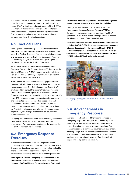A redacted version is located on PHMSA's site as a "model plan" for other companies to refer to. As well, Enbridge has an ERAP, which is a condensed version of the ICP. The ERAP removed sensitive information and it is intended to be used for initial response and sharing with external first responders, and emergency management in the communities along the pipeline system.

### **6.2 Tactical Plans**

Enbridge has a Tactical Response Plan for the Straits of Mackinac that identifies more than 60 potential response sites. The Tactical Response Plan is a controlled document and has been provided to the Local Emergency Planning Committee (LEPC) to assist them with updating the Area Contingency Plan for the Straits of Mackinac.

PHMSA has copies of the Straits of Mackinac Tactical Response Plan and the Superior Region ICP that covers the Straits of Mackinac. PHMSA has posted on its website a version of Enbridge's Chicago Region ICP which would be similar to the Superior Region ICP.

Enbridge has our own initial response equipment for oil releases until additional responses arrive from contracted response agencies. Our Spill Management Teams (SMT) are located throughout the regions that would respond to the Straits pipelines (upwards of 200 responders in Superior region and 150 responders in Chicago region). We have GPS-mapped average response times for company and contracted personnel based on speed limits and no inclement weather conditions. In addition, our SMTs have a comprehensive training syllabus that they adhere to. That training includes operations of skimmers, boom deployment, and a range of other tactical courses for emergency response.

Company field personnel would be immediately dispatched to an incident from the closest positions and then progressively further away depending on the scope of the incident and person-power needed.

# **6.3 Emergency Response Exercises**

First responders are critical to ensuring safety of the community and protection of the environment. For that reason, Enbridge participates with emergency responders and public agencies and communities in drills and simulations to test readiness and continually improve preparedness procedures.

**Enbridge held a major emergency response exercise at the Straits of Mackinac in January, 2012. This exercise involved USCG, OSRO and Enbridge Incident Command** 

#### **System staff and field responders. The information gained helped inform the Straits of Mackinac Tactical Plan.**

Enbridge has also voluntarily accepted the National Preparedness Response Exercise Program (PREP) as the guide for emergency response exercises. The PREP guidelines are the minimum and Enbridge strives to exceed the minimum number of exercises each year.

**Plans are underway to conduct a full-scale PREP exercise that includes USCG, U.S. EPA, local county emergency managers, Michigan Department of Environmental Quality (MDEQ) and many other stakeholders at Indian River with a focus on containment strategies and common operating picture. Both PHMSA and the NEB will be invited to attend.**



An Emergency Response exercise conducted on the Straits of Mackinac crossing in January 2012.

# **6.4 Advancements in Emergency Response**

Enbridge recently enhanced the training provided to emergency responders along its U.S.-Canada pipeline system by introducing a new program that includes an interactive online course and in-person sessions. That program is seen as a significant advancement that enables reaching a large number of emergency response agencies with consistent, comprehensive information about the products transported and the most effective tactics for responding to a pipeline emergency.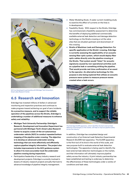

AUV tool developed in partnership with Michigan Tech University's Great Lakes Research Center.

# **6.5 Research and Innovation**

Enbridge has invested millions of dollars in advanced monitoring and inspection practices and continues to make progress toward achieving our goal of zero incidents. **As a proactive measure, and to support the reliable operation of the pipelines across the Straits, Enbridge is undertaking a number of additional measures to enhance safety and reliability:** 

- **Michigan Tech University Partnership: Enbridge's Research, Development and Innovation Department has partnered with Michigan Tech's Great Lakes Research Center to acquire a state-of-the-art autonomous underwater vehicle (AUV) to conduct repeated bottom mapping of the pipeline water crossing. The objective is to develop an advanced underwater sensing technology that can more effectively and efficiently capture pipeline integrity information. The project also includes improvements to the AUV guidance system to allow it to more accurately track the underwater pipeline crossing during inspections.**
- Participation/leadership of many industry research and development projects: Enbridge is currently involved in dozens of industry research projects annually that look to advance knowledge of pipeline integrity management.
- Water Modeling Study: A water current modeling study to examine the effect of currents on the lines is in development.
- Feasibility Study: With respect to the Straits, Enbridge has commissioned a feasibility assessment to determine the benefits of deploying additional commercially available external leak detection and damage detection technology on the Straits crossing or at the valve sites that are situated upstream and downstream of the crossing.
- **Straits of Mackinac Leak and Damage Detection: For specific application at the Straits' crossing, Enbridge is currently assessing the applicability of an acoustic sensing fiber optic system, which would deploy fiber optic cables directly onto the pipeline crossing at the Straits. That system would "listen" for acoustic signatures caused by non-operational activities such as a pipeline leak or something striking the pipeline. That would provide real-time confirmation of an event to the operator. An alternative technology for this purpose is also being explored that utilizes an acoustic pressure wave system to measure pressure waves created when a leak occurs.**



The Enbridge ELDER apparatus, which identifies the best external leak detection technologies on the market, will help to improve pipeline safety across the industry.

In addition, Enbridge has completed design and construction of an External Leak Detection Experimental Research (ELDER) test apparatus. The ELDER apparatus is the first tool of its kind in the world of this scale, and was purpose-built to evaluate external leak detection technologies. The apparatus is being used to identify the best external leak detection technologies on the market, and that information will ultimately improve pipeline safety across the industry. A joint industry partnership has been established and testing is underway to determine the effectiveness of these technologies under a variety of conditions and leak rates.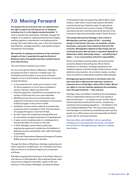# **7.0 Moving Forward**

**The people who live and work near our pipelines have the right to expect we will operate all our pipelines, including Line 5, to the highest standard possible**. To meet or exceed their expectation, Enbridge manages the integrity of its pipelines, applying advanced technologies, meeting regulatory requirements, and leading positive change. We invest heavily every year in the most advanced leak detection, damage prevention, and pipeline integrity management technologies.

**We maintain an ongoing commitment to the continued integrity of Line 5, especially through the Straits of Mackinac where the pipeline has been incident-free for more than 60 years.** 

This commitment is backed up by action.

On Line 5 through the Straits of Mackinac, Enbridge is going beyond what is required in multiple ways. Our immediate and future plans to ensure the continued integrity of Line 5 and the Straits of Mackinac Crossing are summarized below:

- In-line inspections for cracks and corrosion on the On-Shore segments on Line 5 were completed in January, February, March and April 2014.
- External inspections using ROVs are scheduled for the summer of 2014 and every two years thereafter.
- GEOPIG and two forms of circumferential crack inspections (internal) are also scheduled for the summer of 2014 and again in the summer of 2018.
- Installation of screw anchor supports to prevent pipe movement will be completed in 2014. This will reduce all unsupported spans to less than 75 feet.
- An AUV, which will complement existing ROVs and accommodate increased inspections is in development.
- A water current modeling study is in development to examine the effect of currents on the lines.
- In 2014, Enbridge is performing a preliminary engineering assessment to determine the feedback of applying acoustic-sensing fiber optic cable technology to the Straits.
- A full-scale Preparedness Response Emergency Program (PREP) exercise is planned for fall 2014.

Through the Straits of Mackinac, Enbridge is going beyond what's required in multiple ways. Our immediate and future plans to ensure its continued integrity are summarized as follows.

Enbridge recognizes the importance of the Great Lakes as a vital resource to Michiganders. We understand those water resources are integral to the health, quality of life, and economy of the people of Michigan, providing hundreds

of thousands of jobs and supporting a \$12.8-billion travel industry; a \$21-million charter boat industry; \$4-billion commercial and sport fisheries; water for agricultural and food industries; and a source of water to Michigan manufacturing that currently produces 60 percent of the continent's steel and automobiles made in North America.

**The energy delivered by Enbridge is also critical to Michiganders and their quality of life — providing energy to heat homes; fuel cars; run hospitals, schools, businesses, and power those industries that drive the economy. Michiganders depend on that energy and our continued success after 60 years in operation depends on delivering it safely. Delivering energy — and delivering it safely — is our core business and prime responsibility.** 

We are committed to putting safety and environmental protection ahead of everything else. We do that by investing in our business, including maintenance and integrity programs and technological advancements in leak detection and prevention. As an industry leader, we share those innovations to help advance pipeline safety globally.

**Enbridge paid special attention to the Straits when the lines were laid in 1953 and this waterway remains an important focus of Enbridge's safety efforts today. We set our sights on not just meeting regulations but exceeding them through the Straits — then and now.** 

Enbridge is also committed to building trust and engaging with our stakeholders because we don't just operate in these communities — our people are part of them. We do that through demonstrated performance, transparency, investment and exceeding regulations — all detailed in this Line 5 Pipeline Reliability Plan. This report demonstrates that Enbridge's commitments are backed by action and the results of our efforts show Line 5 and especially the Straits remain safe for continued operation.

**Ensuring safety and reliability in all our operations, including Line 5 and especially the Straits, will always be a priority for Enbridge because without it, nothing else matters.**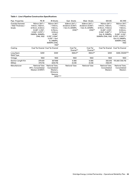#### **Table 1: Line 5 Pipeline Construction Specifications**

| Pipe Properties                                 | PE-IR                                                                                                                                   | <b>IR-Straits</b>                                                                                                                                                 | East Straits                                                        | <b>West Straits</b>                                                 | MA-BC                                                                                                                                            | <b>BC-RW</b>                                                                                                                                                           |
|-------------------------------------------------|-----------------------------------------------------------------------------------------------------------------------------------------|-------------------------------------------------------------------------------------------------------------------------------------------------------------------|---------------------------------------------------------------------|---------------------------------------------------------------------|--------------------------------------------------------------------------------------------------------------------------------------------------|------------------------------------------------------------------------------------------------------------------------------------------------------------------------|
| Outside Diameter<br>/ Wall Thickness /<br>Grade | 762mm (30") /<br>7.14mm, 7.92mm,<br>8.74mm, 9.53mm<br>$(0.281$ ", $0.312$ ",<br>$0.344$ ", $0.375$ ") /<br>318MPa, 359MPa<br>(X46, X52) | 762mm (30")<br>/ 7.14mm,<br>7.92mm.<br>8.74mm,<br>9.53mm<br>(0.281)<br>$0.312$ ", $0.344$ ",<br>0.375" / Grd.<br>B, 318MPa,<br>359MPa (X46,<br>$X52$ <sup>*</sup> | 508mm (20") /<br>20.62mm (0.813")<br>/ Grd. B, 241MPa<br>$(X35)$ ** | 508mm (20") /<br>20.62mm (0.813")<br>/ Grd. B, 241MPa<br>$(X35)$ ** | 762mm (30") /<br>7.14mm, 7.92mm,<br>8.74mm, 17.45mm<br>$(0.281$ ", $0.312$ ",<br>$0.344$ ", $0.687$ ") /<br>Grd. B. 318MPa.<br>359MPa (X46, X52) | 762mm (30")<br>$/7.14$ mm,<br>7.92mm.<br>9.53mm,<br>12.70mm<br>$(0.281$ ", $0.312$ ",<br>$0.375$ ", $0.500$ ") /<br>Grd. B, 318MPa,<br>359MPa (X46,<br>X <sub>52</sub> |
| Coating                                         | Coal Tar Enamel Coal Tar Enamel                                                                                                         |                                                                                                                                                                   | Coal Tar<br>Enamel**                                                | Coal Tar<br>Enamel**                                                | Coal Tar Enamel Coal Tar Enamel                                                                                                                  |                                                                                                                                                                        |
| Long Seam<br>Weld Type                          | SAW                                                                                                                                     | SAW                                                                                                                                                               | SMLS**                                                              | SMLS**                                                              | SAW                                                                                                                                              | SAW, DSAW***                                                                                                                                                           |
| Vintage                                         | 1953                                                                                                                                    | 1953                                                                                                                                                              | 1953                                                                | 1953                                                                | 1953                                                                                                                                             | 1953                                                                                                                                                                   |
| Section Length Km<br>(Miles)                    | 279.631<br>(173.75)                                                                                                                     | 327.968<br>(203.79)                                                                                                                                               | 6.585<br>(4.09)                                                     | 6.585<br>(4.09)                                                     | 252.616<br>(156.97)                                                                                                                              | 170.260 (105.79)                                                                                                                                                       |
| Manufacturer                                    | <b>National Tube</b><br>(NT), Consolidated<br>Western (CWNT)                                                                            | National Tube,<br>Consolidated<br>Western.<br>Wickwire<br>Spencer<br>$(WS)***$                                                                                    | <b>National Tube</b>                                                | <b>National Tube</b>                                                | National Tube,<br>Consolidated<br>Western                                                                                                        | National Tube,<br>Consolidated<br>Western                                                                                                                              |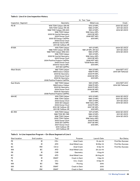#### **Table 2: Line 5 In-Line Inspection History**

|                     | ILI Tool Type                                                                                                                                                                                                                                  |                                                                                                                                                         |                                                                     |  |  |
|---------------------|------------------------------------------------------------------------------------------------------------------------------------------------------------------------------------------------------------------------------------------------|---------------------------------------------------------------------------------------------------------------------------------------------------------|---------------------------------------------------------------------|--|--|
| Inspection Segment  | Geometry                                                                                                                                                                                                                                       | <b>Metal Loss</b>                                                                                                                                       | Crack                                                               |  |  |
| PE-IR               | 1976 TDW Caliper (SN-IR)<br>1978 TDW Caliper (PE-IR)<br>1988 TDW Caliper (SN-GO)<br>1996 TDW Caliper<br>2000 BJ Inertial Geometry<br>2003 Donsa Ctool<br>2005 GE Energy CaliPPer<br>2006 Donsa Ctool                                           | 1972 LR MFL<br>1986 LR MFL<br>1991 LR MFL<br>1996 Vetco MFL<br>2003 GE MFL<br>2008 NDT MFL<br>2013 MFL                                                  | 2005 GE USCD<br>2011 GE USCD<br>2014 GE USCD                        |  |  |
|                     | 2006 BJ Vectra MFL<br>2011 GE CalScan XR                                                                                                                                                                                                       |                                                                                                                                                         |                                                                     |  |  |
| IR-MA               | 1978 TDW Caliper<br>1988 TDW Caliper (IR-AR)<br>1988 TDW Caliper (MQ-GC)<br>1996 TDW Caliper<br>2000 BJ Inertial Geometry<br>2003 Donsa Ctool<br>2004 Positive Projects CaliPPer<br>2006 Donsa Ctool<br>2006 BJ Vectra MFL<br>2011 GE CaliPPer | 1971 LR MFL<br>1981 LR MFL (IR-GC)<br>1986 LR MFL<br>1991 LR MFL<br>1996 Vetco MFL<br>2003 GE MFL<br><b>2008 NDT MFL</b><br>*2008 Rosen MFL<br>2013 MFL | <b>2004 GE USCD</b><br>2011 GE USCD<br>2014 GE USCD                 |  |  |
| <b>West Straits</b> | 1987 TDW Caliper<br>1998 Enduro Caliper<br>2003 BJ Geometry<br>2004 Donsa Ctool<br>2005 BJ Geometry<br>2008 Positive Projects CaliPPer                                                                                                         | 1991 LR MFL<br>1998 PII MFL<br>2003 PII MFL<br>2008 GE MFL<br>2013 MFL                                                                                  | 2014 NDT UCC<br>2014 GW Tethered                                    |  |  |
| <b>East Straits</b> | 1987 TDW Caliper<br>1998 Enduro Caliper<br>2003 BJ Geometry<br>2004 Donsa Ctool<br>2005 BJ Geometry<br>2008 Positive Projects CaliPPer                                                                                                         | 1991 LR MFL<br>1998 PII MFL<br>2003 PII MFL<br>2008 GE MFL<br>2013 MFL                                                                                  | 2014 NDT UCC<br>2014 GW Tethered                                    |  |  |
| MA-BC               | 1978 TDW Caliper<br>1996 TDW Caliper<br>2002 Donsa Ctool<br>2005 GE Calipper<br>2006 Donsa Ctool<br>2010 GE CalScan XR<br>2011 GE CalScan XR                                                                                                   | <b>1972 LR MFL</b><br>1986 LR MFL<br>1991 LR MFL<br>1996 Vetco MFL<br><b>2002 PII MFL</b><br>2007 GE MFL<br>2012 MFL                                    | <b>2005 GE USCD</b><br>2007 GE USCD<br>2011 GE USCD<br>2014 GE USCD |  |  |
| <b>BC-RW</b>        | 1978 TDW Caliper<br>1988 TDW (BC-NB)<br>1996 TDW Caliper<br>2002 TDW Caliper<br>2002 Donsa Ctool<br>2005 GE CaliPPer<br>2007 Donsa Ctool<br>2010 CalScan XR<br>2011 CalScan XR                                                                 | <b>1971 LR MFL</b><br><b>1986 LR MFL</b><br>1991 LR MFL<br>1996 Vetco MFL<br><b>2002 PII MFL</b><br>2007 GE MFL<br>2012 MFL                             | <b>2005 GE USCD</b><br>2011 GE USCD<br>2014 GE USCD                 |  |  |

#### **Table 3: In-Line Inspection Program – On-Shore Segment of Line 5**

| <b>Start location</b> | <b>End Location</b> | Tool            | Purpose                 | Launch Date | <b>Run Status</b>        |
|-----------------------|---------------------|-----------------|-------------------------|-------------|--------------------------|
| <b>PE</b>             | IR                  | $CD+$           | <b>Axial Crack</b>      | 13-Jan-14   | <b>First Run Success</b> |
| <b>PE</b>             | IR                  | <b>AFD</b>      | <b>Axial Metal Loss</b> | 18-Mar-14   | <b>First Run Success</b> |
| BC.                   | <b>RW</b>           | $CD+2$          | <b>Axial Crack</b>      | 9-Apr-14    | <b>First Run Success</b> |
| <b>MA</b>             | BC.                 | <b>AFD</b>      | <b>Axial Metal Loss</b> | 25-Jun-14   |                          |
| <b>PR</b>             | IR                  | <b>CXR</b>      | Geometry                | 1-Aug-14    |                          |
| BC.                   | <b>RW</b>           | AFD.            | Axial Metal Loss        | 26-Aug-14   |                          |
| <b>PE</b>             | IR                  | <b>EMAT</b>     | <b>Crack in Dent</b>    | $1-Sep-14$  |                          |
| <b>PE</b>             | IR                  | UC <sub>c</sub> | Circ. Crack             | $9-Sep-14$  |                          |
| <b>MA</b>             | BC.                 | <b>TBD</b>      | Proving                 | 2015        |                          |
| <b>MA</b>             | BC.                 | <b>EMAT</b>     | <b>Crack in Dent</b>    | 2015        |                          |
| BC                    | <b>RW</b>           | <b>EMAT</b>     | Crack in Dent           | 2015        |                          |